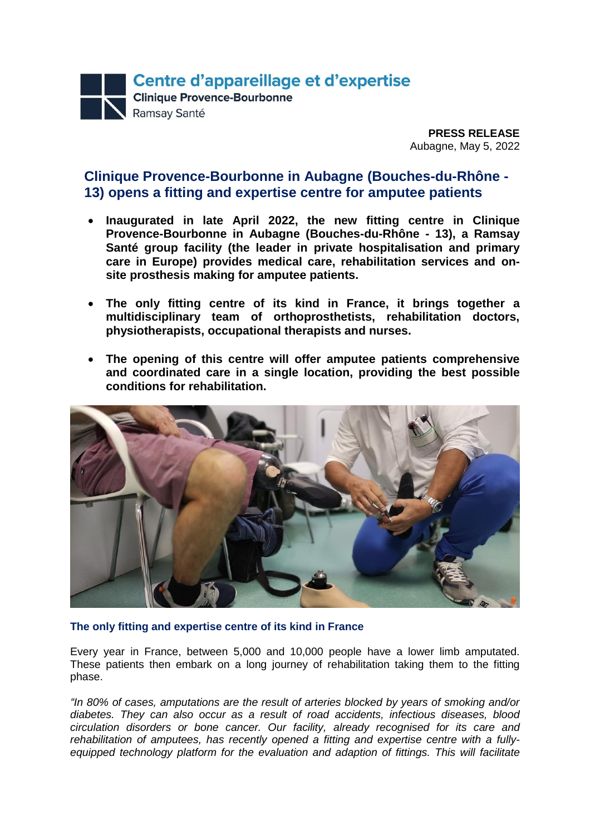

**PRESS RELEASE** Aubagne, May 5, 2022

# **Clinique Provence-Bourbonne in Aubagne (Bouches-du-Rhône - 13) opens a fitting and expertise centre for amputee patients**

- **Inaugurated in late April 2022, the new fitting centre in Clinique Provence-Bourbonne in Aubagne (Bouches-du-Rhône - 13), a Ramsay Santé group facility (the leader in private hospitalisation and primary care in Europe) provides medical care, rehabilitation services and onsite prosthesis making for amputee patients.**
- **The only fitting centre of its kind in France, it brings together a multidisciplinary team of orthoprosthetists, rehabilitation doctors, physiotherapists, occupational therapists and nurses.**
- **The opening of this centre will offer amputee patients comprehensive and coordinated care in a single location, providing the best possible conditions for rehabilitation.**



## **The only fitting and expertise centre of its kind in France**

Every year in France, between 5,000 and 10,000 people have a lower limb amputated. These patients then embark on a long journey of rehabilitation taking them to the fitting phase.

*"In 80% of cases, amputations are the result of arteries blocked by years of smoking and/or diabetes. They can also occur as a result of road accidents, infectious diseases, blood circulation disorders or bone cancer. Our facility, already recognised for its care and rehabilitation of amputees, has recently opened a fitting and expertise centre with a fullyequipped technology platform for the evaluation and adaption of fittings. This will facilitate*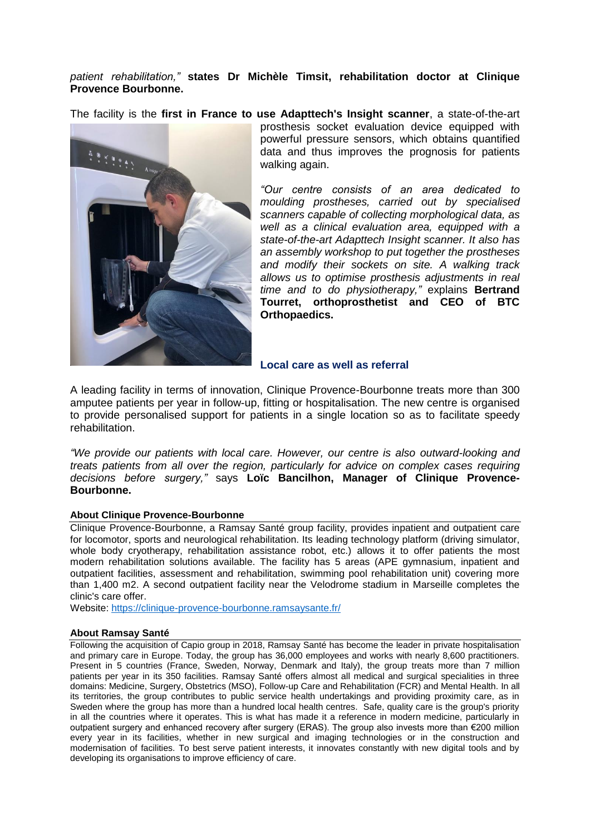## *patient rehabilitation,"* **states Dr Michèle Timsit, rehabilitation doctor at Clinique Provence Bourbonne.**

The facility is the **first in France to use Adapttech's Insight scanner**, a state-of-the-art



prosthesis socket evaluation device equipped with powerful pressure sensors, which obtains quantified data and thus improves the prognosis for patients walking again.

*"Our centre consists of an area dedicated to moulding prostheses, carried out by specialised scanners capable of collecting morphological data, as well as a clinical evaluation area, equipped with a state-of-the-art Adapttech Insight scanner. It also has an assembly workshop to put together the prostheses and modify their sockets on site. A walking track allows us to optimise prosthesis adjustments in real time and to do physiotherapy,"* explains **Bertrand Tourret, orthoprosthetist and CEO of BTC Orthopaedics.**

**Local care as well as referral**

A leading facility in terms of innovation, Clinique Provence-Bourbonne treats more than 300 amputee patients per year in follow-up, fitting or hospitalisation. The new centre is organised to provide personalised support for patients in a single location so as to facilitate speedy rehabilitation.

*"We provide our patients with local care. However, our centre is also outward-looking and treats patients from all over the region, particularly for advice on complex cases requiring decisions before surgery,"* says **Loïc Bancilhon, Manager of Clinique Provence-Bourbonne.**

### **About Clinique Provence-Bourbonne**

Clinique Provence-Bourbonne, a Ramsay Santé group facility, provides inpatient and outpatient care for locomotor, sports and neurological rehabilitation. Its leading technology platform (driving simulator, whole body cryotherapy, rehabilitation assistance robot, etc.) allows it to offer patients the most modern rehabilitation solutions available. The facility has 5 areas (APE gymnasium, inpatient and outpatient facilities, assessment and rehabilitation, swimming pool rehabilitation unit) covering more than 1,400 m2. A second outpatient facility near the Velodrome stadium in Marseille completes the clinic's care offer.

Website:<https://clinique-provence-bourbonne.ramsaysante.fr/>

### **About Ramsay Santé**

Following the acquisition of Capio group in 2018, Ramsay Santé has become the leader in private hospitalisation and primary care in Europe. Today, the group has 36,000 employees and works with nearly 8,600 practitioners. Present in 5 countries (France, Sweden, Norway, Denmark and Italy), the group treats more than 7 million patients per year in its 350 facilities. Ramsay Santé offers almost all medical and surgical specialities in three domains: Medicine, Surgery, Obstetrics (MSO), Follow-up Care and Rehabilitation (FCR) and Mental Health. In all its territories, the group contributes to public service health undertakings and providing proximity care, as in Sweden where the group has more than a hundred local health centres. Safe, quality care is the group's priority in all the countries where it operates. This is what has made it a reference in modern medicine, particularly in outpatient surgery and enhanced recovery after surgery (ERAS). The group also invests more than €200 million every year in its facilities, whether in new surgical and imaging technologies or in the construction and modernisation of facilities. To best serve patient interests, it innovates constantly with new digital tools and by developing its organisations to improve efficiency of care.